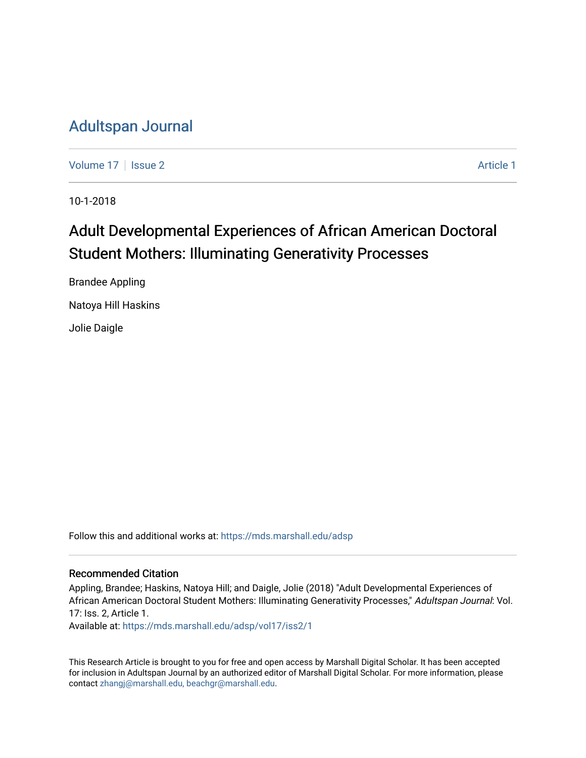# [Adultspan Journal](https://mds.marshall.edu/adsp)

[Volume 17](https://mds.marshall.edu/adsp/vol17) | [Issue 2](https://mds.marshall.edu/adsp/vol17/iss2) [Article 1](https://mds.marshall.edu/adsp/vol17/iss2/1) | Article 1 | Article 1 | Article 1 | Article 1 | Article 1 | Article 1 | Article 1 | Article 1 | Article 1 | Article 1 | Article 1 | Article 1 | Article 1 | Article 1 | Article 1 | Article 1

10-1-2018

# Adult Developmental Experiences of African American Doctoral Student Mothers: Illuminating Generativity Processes

Brandee Appling Natoya Hill Haskins Jolie Daigle

Follow this and additional works at: [https://mds.marshall.edu/adsp](https://mds.marshall.edu/adsp?utm_source=mds.marshall.edu%2Fadsp%2Fvol17%2Fiss2%2F1&utm_medium=PDF&utm_campaign=PDFCoverPages) 

#### Recommended Citation

Appling, Brandee; Haskins, Natoya Hill; and Daigle, Jolie (2018) "Adult Developmental Experiences of African American Doctoral Student Mothers: Illuminating Generativity Processes," Adultspan Journal: Vol. 17: Iss. 2, Article 1.

Available at: [https://mds.marshall.edu/adsp/vol17/iss2/1](https://mds.marshall.edu/adsp/vol17/iss2/1?utm_source=mds.marshall.edu%2Fadsp%2Fvol17%2Fiss2%2F1&utm_medium=PDF&utm_campaign=PDFCoverPages) 

This Research Article is brought to you for free and open access by Marshall Digital Scholar. It has been accepted for inclusion in Adultspan Journal by an authorized editor of Marshall Digital Scholar. For more information, please contact [zhangj@marshall.edu, beachgr@marshall.edu](mailto:zhangj@marshall.edu,%20beachgr@marshall.edu).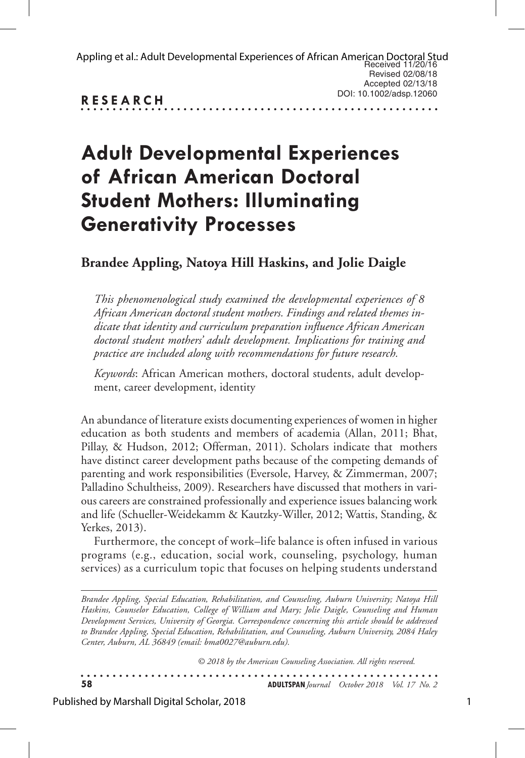| Appling et al.: Adult Developmental Experiences of African American Doctoral Stud<br>Received 11/20/16 |                         |
|--------------------------------------------------------------------------------------------------------|-------------------------|
|                                                                                                        | Revised 02/08/18        |
|                                                                                                        | Accepted 02/13/18       |
| <b>RESEARCH</b>                                                                                        | DOI: 10.1002/adsp.12060 |
|                                                                                                        |                         |

# **Adult Developmental Experiences of African American Doctoral Student Mothers: Illuminating Generativity Processes**

# **Brandee Appling, Natoya Hill Haskins, and Jolie Daigle**

*This phenomenological study examined the developmental experiences of 8 African American doctoral student mothers. Findings and related themes indicate that identity and curriculum preparation influence African American doctoral student mothers' adult development. Implications for training and practice are included along with recommendations for future research.* 

*Keywords*: African American mothers, doctoral students, adult development, career development, identity

An abundance of literature exists documenting experiences of women in higher education as both students and members of academia (Allan, 2011; Bhat, Pillay, & Hudson, 2012; Offerman, 2011). Scholars indicate that mothers have distinct career development paths because of the competing demands of parenting and work responsibilities (Eversole, Harvey, & Zimmerman, 2007; Palladino Schultheiss, 2009). Researchers have discussed that mothers in various careers are constrained professionally and experience issues balancing work and life (Schueller-Weidekamm & Kautzky-Willer, 2012; Wattis, Standing, & Yerkes, 2013).

Furthermore, the concept of work–life balance is often infused in various programs (e.g., education, social work, counseling, psychology, human services) as a curriculum topic that focuses on helping students understand

*Brandee Appling, Special Education, Rehabilitation, and Counseling, Auburn University; Natoya Hill Haskins, Counselor Education, College of William and Mary; Jolie Daigle, Counseling and Human Development Services, University of Georgia. Correspondence concerning this article should be addressed to Brandee Appling, Special Education, Rehabilitation, and Counseling, Auburn University, 2084 Haley Center, Auburn, AL 36849 (email: bma0027@auburn.edu).*

*© 2018 by the American Counseling Association. All rights reserved.*

**58 ADULTSPAN***Journal October 2018 Vol. 17 No. 2*

Published by Marshall Digital Scholar, 2018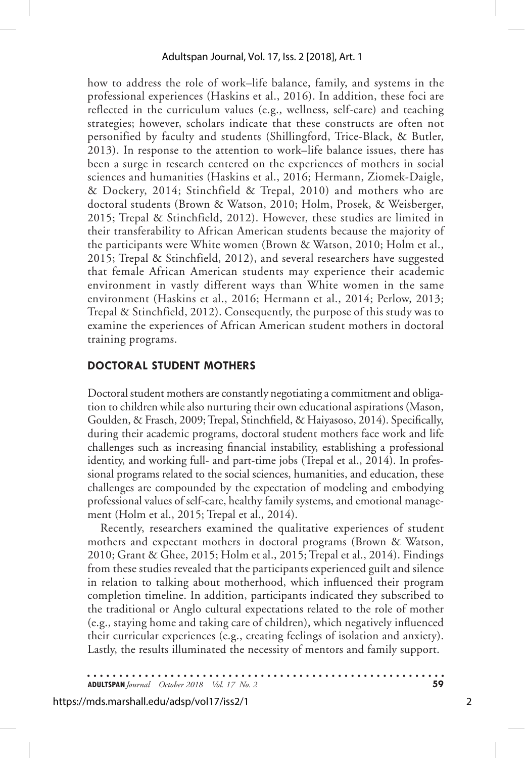how to address the role of work–life balance, family, and systems in the professional experiences (Haskins et al., 2016). In addition, these foci are reflected in the curriculum values (e.g., wellness, self-care) and teaching strategies; however, scholars indicate that these constructs are often not personified by faculty and students (Shillingford, Trice-Black, & Butler, 2013). In response to the attention to work–life balance issues, there has been a surge in research centered on the experiences of mothers in social sciences and humanities (Haskins et al., 2016; Hermann, Ziomek-Daigle, & Dockery, 2014; Stinchfield & Trepal, 2010) and mothers who are doctoral students (Brown & Watson, 2010; Holm, Prosek, & Weisberger, 2015; Trepal & Stinchfield, 2012). However, these studies are limited in their transferability to African American students because the majority of the participants were White women (Brown & Watson, 2010; Holm et al., 2015; Trepal & Stinchfield, 2012), and several researchers have suggested that female African American students may experience their academic environment in vastly different ways than White women in the same environment (Haskins et al., 2016; Hermann et al., 2014; Perlow, 2013; Trepal & Stinchfield, 2012). Consequently, the purpose of this study was to examine the experiences of African American student mothers in doctoral training programs.

## **DOCTORAL STUDENT MOTHERS**

Doctoral student mothers are constantly negotiating a commitment and obligation to children while also nurturing their own educational aspirations (Mason, Goulden, & Frasch, 2009; Trepal, Stinchfield, & Haiyasoso, 2014). Specifically, during their academic programs, doctoral student mothers face work and life challenges such as increasing financial instability, establishing a professional identity, and working full- and part-time jobs (Trepal et al., 2014). In professional programs related to the social sciences, humanities, and education, these challenges are compounded by the expectation of modeling and embodying professional values of self-care, healthy family systems, and emotional management (Holm et al., 2015; Trepal et al., 2014).

Recently, researchers examined the qualitative experiences of student mothers and expectant mothers in doctoral programs (Brown & Watson, 2010; Grant & Ghee, 2015; Holm et al., 2015; Trepal et al., 2014). Findings from these studies revealed that the participants experienced guilt and silence in relation to talking about motherhood, which influenced their program completion timeline. In addition, participants indicated they subscribed to the traditional or Anglo cultural expectations related to the role of mother (e.g., staying home and taking care of children), which negatively influenced their curricular experiences (e.g., creating feelings of isolation and anxiety). Lastly, the results illuminated the necessity of mentors and family support.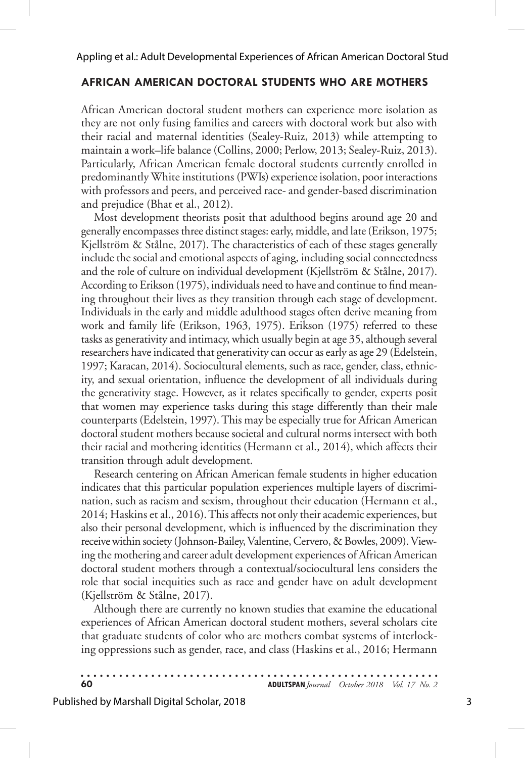### **AFRICAN AMERICAN DOCTORAL STUDENTS WHO ARE MOTHERS**

African American doctoral student mothers can experience more isolation as they are not only fusing families and careers with doctoral work but also with their racial and maternal identities (Sealey-Ruiz, 2013) while attempting to maintain a work–life balance (Collins, 2000; Perlow, 2013; Sealey-Ruiz, 2013). Particularly, African American female doctoral students currently enrolled in predominantly White institutions (PWIs) experience isolation, poor interactions with professors and peers, and perceived race- and gender-based discrimination and prejudice (Bhat et al., 2012).

Most development theorists posit that adulthood begins around age 20 and generally encompasses three distinct stages: early, middle, and late (Erikson, 1975; Kjellström & Stålne, 2017). The characteristics of each of these stages generally include the social and emotional aspects of aging, including social connectedness and the role of culture on individual development (Kjellström & Stålne, 2017). According to Erikson (1975), individuals need to have and continue to find meaning throughout their lives as they transition through each stage of development. Individuals in the early and middle adulthood stages often derive meaning from work and family life (Erikson, 1963, 1975). Erikson (1975) referred to these tasks as generativity and intimacy, which usually begin at age 35, although several researchers have indicated that generativity can occur as early as age 29 (Edelstein, 1997; Karacan, 2014). Sociocultural elements, such as race, gender, class, ethnicity, and sexual orientation, influence the development of all individuals during the generativity stage. However, as it relates specifically to gender, experts posit that women may experience tasks during this stage differently than their male counterparts (Edelstein, 1997). This may be especially true for African American doctoral student mothers because societal and cultural norms intersect with both their racial and mothering identities (Hermann et al., 2014), which affects their transition through adult development.

Research centering on African American female students in higher education indicates that this particular population experiences multiple layers of discrimination, such as racism and sexism, throughout their education (Hermann et al., 2014; Haskins et al., 2016). This affects not only their academic experiences, but also their personal development, which is influenced by the discrimination they receive within society (Johnson-Bailey, Valentine, Cervero, & Bowles, 2009). Viewing the mothering and career adult development experiences of African American doctoral student mothers through a contextual/sociocultural lens considers the role that social inequities such as race and gender have on adult development (Kjellström & Stålne, 2017).

Although there are currently no known studies that examine the educational experiences of African American doctoral student mothers, several scholars cite that graduate students of color who are mothers combat systems of interlocking oppressions such as gender, race, and class (Haskins et al., 2016; Hermann

| 60 |  |  |  |  |  |  |  |  |  |  |  |  |  |  |  |  |  |  |  |  |  |  |  | <b>ADULTSPAN</b> Journal October 2018 Vol. 17 No. 2 |  |  |
|----|--|--|--|--|--|--|--|--|--|--|--|--|--|--|--|--|--|--|--|--|--|--|--|-----------------------------------------------------|--|--|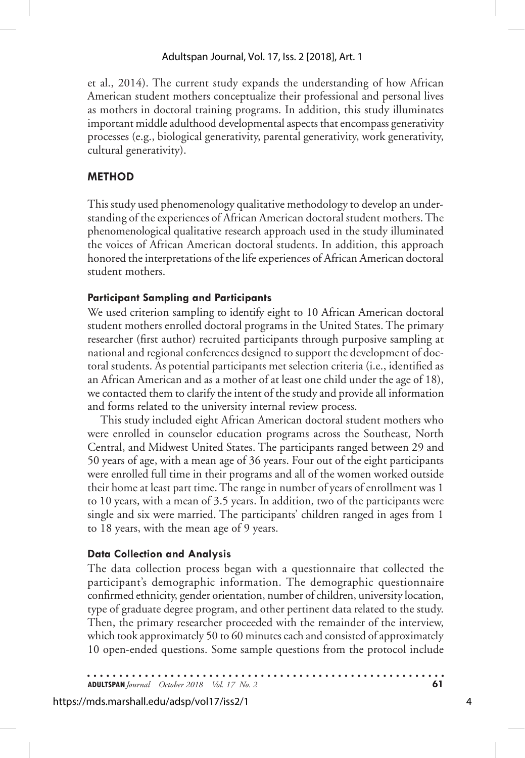et al., 2014). The current study expands the understanding of how African American student mothers conceptualize their professional and personal lives as mothers in doctoral training programs. In addition, this study illuminates important middle adulthood developmental aspects that encompass generativity processes (e.g., biological generativity, parental generativity, work generativity, cultural generativity).

# **METHOD**

This study used phenomenology qualitative methodology to develop an understanding of the experiences of African American doctoral student mothers. The phenomenological qualitative research approach used in the study illuminated the voices of African American doctoral students. In addition, this approach honored the interpretations of the life experiences of African American doctoral student mothers.

## **Participant Sampling and Participants**

We used criterion sampling to identify eight to 10 African American doctoral student mothers enrolled doctoral programs in the United States. The primary researcher (first author) recruited participants through purposive sampling at national and regional conferences designed to support the development of doctoral students. As potential participants met selection criteria (i.e., identified as an African American and as a mother of at least one child under the age of 18), we contacted them to clarify the intent of the study and provide all information and forms related to the university internal review process.

This study included eight African American doctoral student mothers who were enrolled in counselor education programs across the Southeast, North Central, and Midwest United States. The participants ranged between 29 and 50 years of age, with a mean age of 36 years. Four out of the eight participants were enrolled full time in their programs and all of the women worked outside their home at least part time. The range in number of years of enrollment was 1 to 10 years, with a mean of 3.5 years. In addition, two of the participants were single and six were married. The participants' children ranged in ages from 1 to 18 years, with the mean age of 9 years.

# **Data Collection and Analysis**

The data collection process began with a questionnaire that collected the participant's demographic information. The demographic questionnaire confirmed ethnicity, gender orientation, number of children, university location, type of graduate degree program, and other pertinent data related to the study. Then, the primary researcher proceeded with the remainder of the interview, which took approximately 50 to 60 minutes each and consisted of approximately 10 open-ended questions. Some sample questions from the protocol include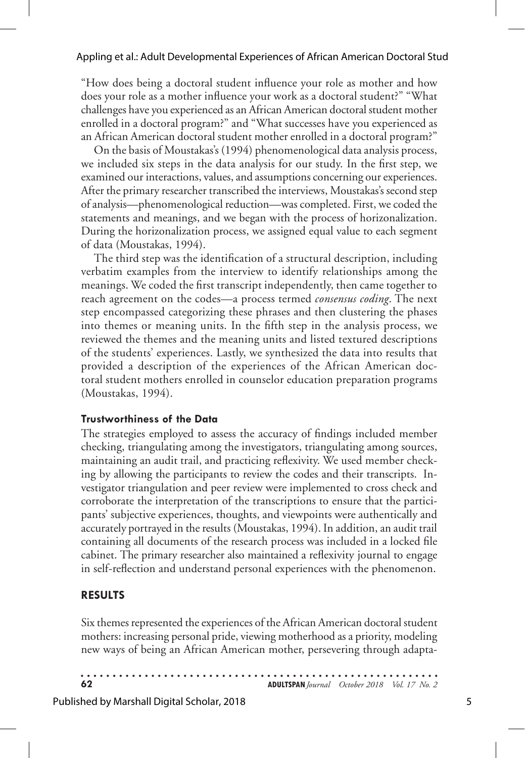"How does being a doctoral student influence your role as mother and how does your role as a mother influence your work as a doctoral student?" "What challenges have you experienced as an African American doctoral student mother enrolled in a doctoral program?" and "What successes have you experienced as an African American doctoral student mother enrolled in a doctoral program?"

On the basis of Moustakas's (1994) phenomenological data analysis process, we included six steps in the data analysis for our study. In the first step, we examined our interactions, values, and assumptions concerning our experiences. After the primary researcher transcribed the interviews, Moustakas's second step of analysis—phenomenological reduction—was completed. First, we coded the statements and meanings, and we began with the process of horizonalization. During the horizonalization process, we assigned equal value to each segment of data (Moustakas, 1994).

The third step was the identification of a structural description, including verbatim examples from the interview to identify relationships among the meanings. We coded the first transcript independently, then came together to reach agreement on the codes—a process termed *consensus coding*. The next step encompassed categorizing these phrases and then clustering the phases into themes or meaning units. In the fifth step in the analysis process, we reviewed the themes and the meaning units and listed textured descriptions of the students' experiences. Lastly, we synthesized the data into results that provided a description of the experiences of the African American doctoral student mothers enrolled in counselor education preparation programs (Moustakas, 1994).

#### **Trustworthiness of the Data**

The strategies employed to assess the accuracy of findings included member checking, triangulating among the investigators, triangulating among sources, maintaining an audit trail, and practicing reflexivity. We used member checking by allowing the participants to review the codes and their transcripts. Investigator triangulation and peer review were implemented to cross check and corroborate the interpretation of the transcriptions to ensure that the participants' subjective experiences, thoughts, and viewpoints were authentically and accurately portrayed in the results (Moustakas, 1994). In addition, an audit trail containing all documents of the research process was included in a locked file cabinet. The primary researcher also maintained a reflexivity journal to engage in self-reflection and understand personal experiences with the phenomenon.

### **RESULTS**

Six themes represented the experiences of the African American doctoral student mothers: increasing personal pride, viewing motherhood as a priority, modeling new ways of being an African American mother, persevering through adapta-

| 62 | <b>ADULTSPAN</b> Journal October 2018 Vol. 17 No. 2 |  |
|----|-----------------------------------------------------|--|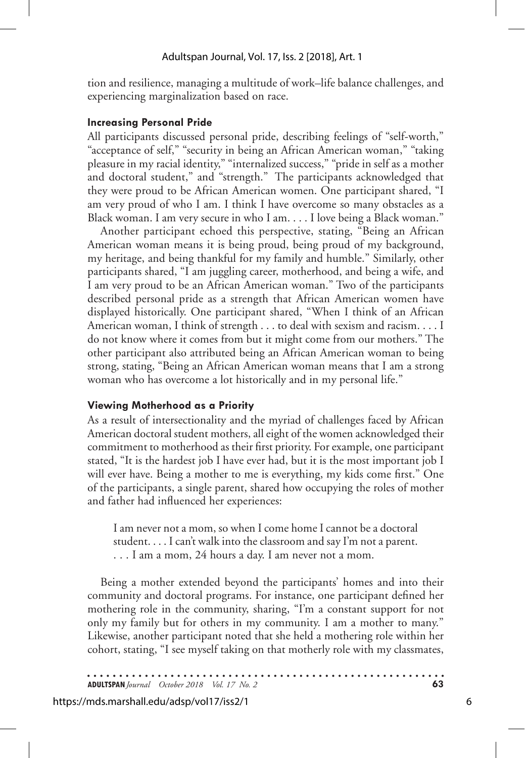tion and resilience, managing a multitude of work–life balance challenges, and experiencing marginalization based on race.

#### **Increasing Personal Pride**

All participants discussed personal pride, describing feelings of "self-worth," "acceptance of self," "security in being an African American woman," "taking pleasure in my racial identity," "internalized success," "pride in self as a mother and doctoral student," and "strength." The participants acknowledged that they were proud to be African American women. One participant shared, "I am very proud of who I am. I think I have overcome so many obstacles as a Black woman. I am very secure in who I am. . . . I love being a Black woman."

Another participant echoed this perspective, stating, "Being an African American woman means it is being proud, being proud of my background, my heritage, and being thankful for my family and humble." Similarly, other participants shared, "I am juggling career, motherhood, and being a wife, and I am very proud to be an African American woman." Two of the participants described personal pride as a strength that African American women have displayed historically. One participant shared, "When I think of an African American woman, I think of strength . . . to deal with sexism and racism. . . . I do not know where it comes from but it might come from our mothers." The other participant also attributed being an African American woman to being strong, stating, "Being an African American woman means that I am a strong woman who has overcome a lot historically and in my personal life."

### **Viewing Motherhood as a Priority**

As a result of intersectionality and the myriad of challenges faced by African American doctoral student mothers, all eight of the women acknowledged their commitment to motherhood as their first priority. For example, one participant stated, "It is the hardest job I have ever had, but it is the most important job I will ever have. Being a mother to me is everything, my kids come first." One of the participants, a single parent, shared how occupying the roles of mother and father had influenced her experiences:

I am never not a mom, so when I come home I cannot be a doctoral student. . . . I can't walk into the classroom and say I'm not a parent. . . . I am a mom, 24 hours a day. I am never not a mom.

Being a mother extended beyond the participants' homes and into their community and doctoral programs. For instance, one participant defined her mothering role in the community, sharing, "I'm a constant support for not only my family but for others in my community. I am a mother to many." Likewise, another participant noted that she held a mothering role within her cohort, stating, "I see myself taking on that motherly role with my classmates,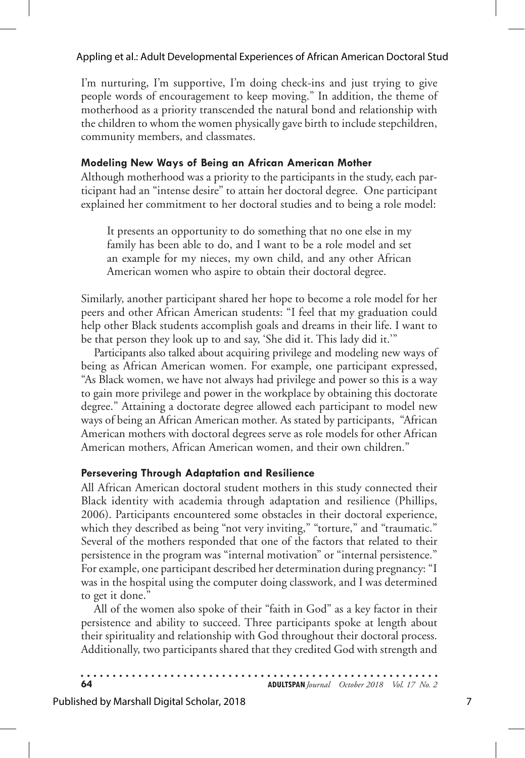#### Appling et al.: Adult Developmental Experiences of African American Doctoral Stud

I'm nurturing, I'm supportive, I'm doing check-ins and just trying to give people words of encouragement to keep moving." In addition, the theme of motherhood as a priority transcended the natural bond and relationship with the children to whom the women physically gave birth to include stepchildren, community members, and classmates.

#### **Modeling New Ways of Being an African American Mother**

Although motherhood was a priority to the participants in the study, each participant had an "intense desire" to attain her doctoral degree. One participant explained her commitment to her doctoral studies and to being a role model:

It presents an opportunity to do something that no one else in my family has been able to do, and I want to be a role model and set an example for my nieces, my own child, and any other African American women who aspire to obtain their doctoral degree.

Similarly, another participant shared her hope to become a role model for her peers and other African American students: "I feel that my graduation could help other Black students accomplish goals and dreams in their life. I want to be that person they look up to and say, 'She did it. This lady did it.'"

Participants also talked about acquiring privilege and modeling new ways of being as African American women. For example, one participant expressed, "As Black women, we have not always had privilege and power so this is a way to gain more privilege and power in the workplace by obtaining this doctorate degree." Attaining a doctorate degree allowed each participant to model new ways of being an African American mother. As stated by participants, "African American mothers with doctoral degrees serve as role models for other African American mothers, African American women, and their own children."

#### **Persevering Through Adaptation and Resilience**

All African American doctoral student mothers in this study connected their Black identity with academia through adaptation and resilience (Phillips, 2006). Participants encountered some obstacles in their doctoral experience, which they described as being "not very inviting," "torture," and "traumatic." Several of the mothers responded that one of the factors that related to their persistence in the program was "internal motivation" or "internal persistence." For example, one participant described her determination during pregnancy: "I was in the hospital using the computer doing classwork, and I was determined to get it done."

All of the women also spoke of their "faith in God" as a key factor in their persistence and ability to succeed. Three participants spoke at length about their spirituality and relationship with God throughout their doctoral process. Additionally, two participants shared that they credited God with strength and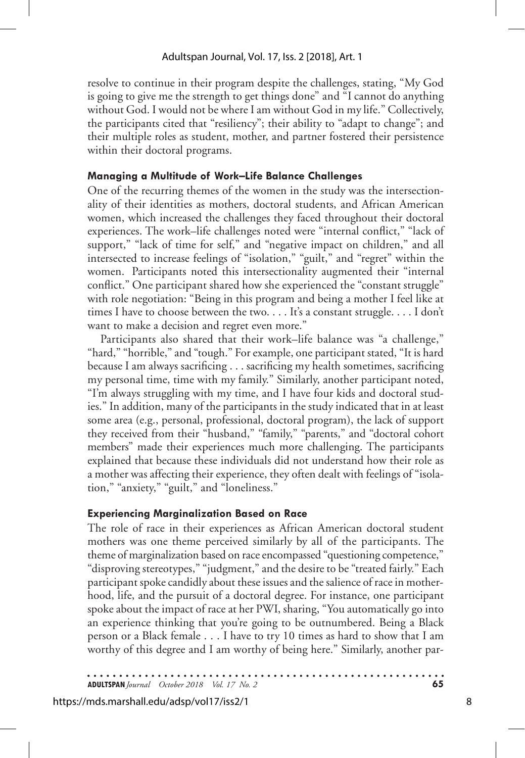resolve to continue in their program despite the challenges, stating, "My God is going to give me the strength to get things done" and "I cannot do anything without God. I would not be where I am without God in my life." Collectively, the participants cited that "resiliency"; their ability to "adapt to change"; and their multiple roles as student, mother, and partner fostered their persistence within their doctoral programs.

#### **Managing a Multitude of Work–Life Balance Challenges**

One of the recurring themes of the women in the study was the intersectionality of their identities as mothers, doctoral students, and African American women, which increased the challenges they faced throughout their doctoral experiences. The work–life challenges noted were "internal conflict," "lack of support," "lack of time for self," and "negative impact on children," and all intersected to increase feelings of "isolation," "guilt," and "regret" within the women. Participants noted this intersectionality augmented their "internal conflict." One participant shared how she experienced the "constant struggle" with role negotiation: "Being in this program and being a mother I feel like at times I have to choose between the two. . . . It's a constant struggle. . . . I don't want to make a decision and regret even more."

Participants also shared that their work–life balance was "a challenge," "hard," "horrible," and "tough." For example, one participant stated, "It is hard because I am always sacrificing . . . sacrificing my health sometimes, sacrificing my personal time, time with my family." Similarly, another participant noted, "I'm always struggling with my time, and I have four kids and doctoral studies." In addition, many of the participants in the study indicated that in at least some area (e.g., personal, professional, doctoral program), the lack of support they received from their "husband," "family," "parents," and "doctoral cohort members" made their experiences much more challenging. The participants explained that because these individuals did not understand how their role as a mother was affecting their experience, they often dealt with feelings of "isolation," "anxiety," "guilt," and "loneliness."

### **Experiencing Marginalization Based on Race**

The role of race in their experiences as African American doctoral student mothers was one theme perceived similarly by all of the participants. The theme of marginalization based on race encompassed "questioning competence," "disproving stereotypes," "judgment," and the desire to be "treated fairly." Each participant spoke candidly about these issues and the salience of race in motherhood, life, and the pursuit of a doctoral degree. For instance, one participant spoke about the impact of race at her PWI, sharing, "You automatically go into an experience thinking that you're going to be outnumbered. Being a Black person or a Black female . . . I have to try 10 times as hard to show that I am worthy of this degree and I am worthy of being here." Similarly, another par-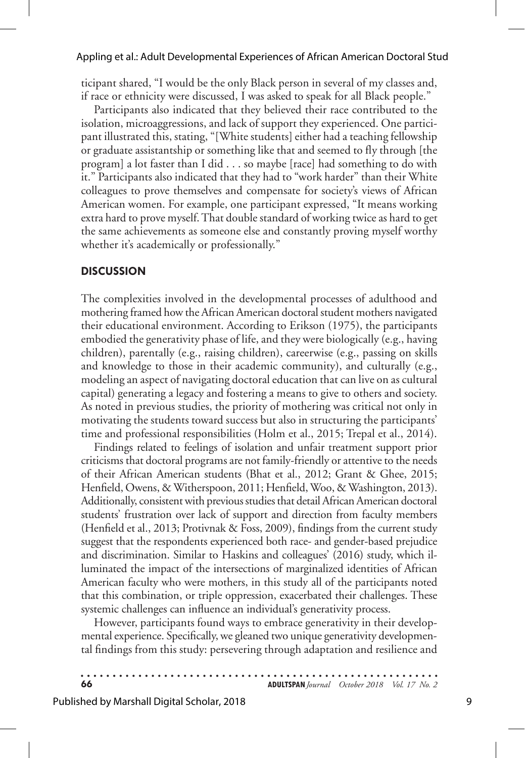#### Appling et al.: Adult Developmental Experiences of African American Doctoral Stud

ticipant shared, "I would be the only Black person in several of my classes and, if race or ethnicity were discussed, I was asked to speak for all Black people."

Participants also indicated that they believed their race contributed to the isolation, microaggressions, and lack of support they experienced. One participant illustrated this, stating, "[White students] either had a teaching fellowship or graduate assistantship or something like that and seemed to fly through [the program] a lot faster than I did . . . so maybe [race] had something to do with it." Participants also indicated that they had to "work harder" than their White colleagues to prove themselves and compensate for society's views of African American women. For example, one participant expressed, "It means working extra hard to prove myself. That double standard of working twice as hard to get the same achievements as someone else and constantly proving myself worthy whether it's academically or professionally."

#### **DISCUSSION**

The complexities involved in the developmental processes of adulthood and mothering framed how the African American doctoral student mothers navigated their educational environment. According to Erikson (1975), the participants embodied the generativity phase of life, and they were biologically (e.g., having children), parentally (e.g., raising children), careerwise (e.g., passing on skills and knowledge to those in their academic community), and culturally (e.g., modeling an aspect of navigating doctoral education that can live on as cultural capital) generating a legacy and fostering a means to give to others and society. As noted in previous studies, the priority of mothering was critical not only in motivating the students toward success but also in structuring the participants' time and professional responsibilities (Holm et al., 2015; Trepal et al., 2014).

Findings related to feelings of isolation and unfair treatment support prior criticisms that doctoral programs are not family-friendly or attentive to the needs of their African American students (Bhat et al., 2012; Grant & Ghee, 2015; Henfield, Owens, & Witherspoon, 2011; Henfield, Woo, & Washington, 2013). Additionally, consistent with previous studies that detail African American doctoral students' frustration over lack of support and direction from faculty members (Henfield et al., 2013; Protivnak & Foss, 2009), findings from the current study suggest that the respondents experienced both race- and gender-based prejudice and discrimination. Similar to Haskins and colleagues' (2016) study, which illuminated the impact of the intersections of marginalized identities of African American faculty who were mothers, in this study all of the participants noted that this combination, or triple oppression, exacerbated their challenges. These systemic challenges can influence an individual's generativity process.

However, participants found ways to embrace generativity in their developmental experience. Specifically, we gleaned two unique generativity developmental findings from this study: persevering through adaptation and resilience and

| 66 |  |  |  |  |  |  |  |  |  |  |  |  |  |  |  |  |  |  |  |  |  |  |  |  | <b>ADULTSPAN</b> Journal October 2018 Vol. 17 No. 2 |  |  |
|----|--|--|--|--|--|--|--|--|--|--|--|--|--|--|--|--|--|--|--|--|--|--|--|--|-----------------------------------------------------|--|--|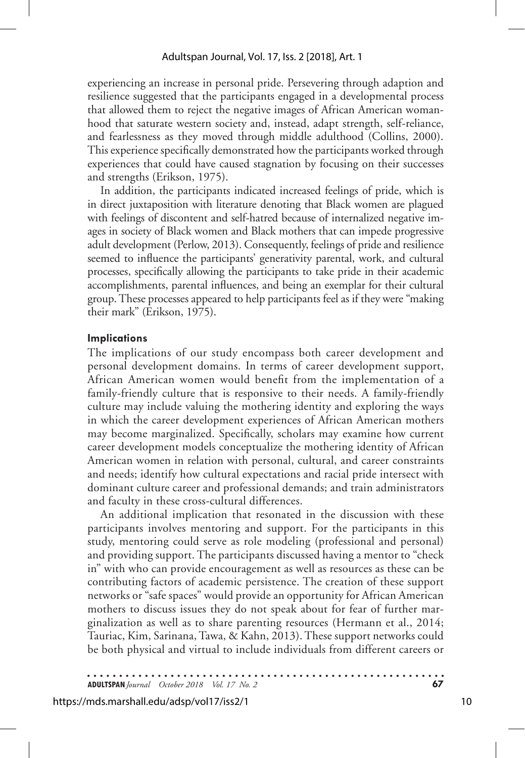experiencing an increase in personal pride. Persevering through adaption and resilience suggested that the participants engaged in a developmental process that allowed them to reject the negative images of African American womanhood that saturate western society and, instead, adapt strength, self-reliance, and fearlessness as they moved through middle adulthood (Collins, 2000). This experience specifically demonstrated how the participants worked through experiences that could have caused stagnation by focusing on their successes and strengths (Erikson, 1975).

In addition, the participants indicated increased feelings of pride, which is in direct juxtaposition with literature denoting that Black women are plagued with feelings of discontent and self-hatred because of internalized negative images in society of Black women and Black mothers that can impede progressive adult development (Perlow, 2013). Consequently, feelings of pride and resilience seemed to influence the participants' generativity parental, work, and cultural processes, specifically allowing the participants to take pride in their academic accomplishments, parental influences, and being an exemplar for their cultural group. These processes appeared to help participants feel as if they were "making their mark" (Erikson, 1975).

#### **Implications**

The implications of our study encompass both career development and personal development domains. In terms of career development support, African American women would benefit from the implementation of a family-friendly culture that is responsive to their needs. A family-friendly culture may include valuing the mothering identity and exploring the ways in which the career development experiences of African American mothers may become marginalized. Specifically, scholars may examine how current career development models conceptualize the mothering identity of African American women in relation with personal, cultural, and career constraints and needs; identify how cultural expectations and racial pride intersect with dominant culture career and professional demands; and train administrators and faculty in these cross-cultural differences.

An additional implication that resonated in the discussion with these participants involves mentoring and support. For the participants in this study, mentoring could serve as role modeling (professional and personal) and providing support. The participants discussed having a mentor to "check in" with who can provide encouragement as well as resources as these can be contributing factors of academic persistence. The creation of these support networks or "safe spaces" would provide an opportunity for African American mothers to discuss issues they do not speak about for fear of further marginalization as well as to share parenting resources (Hermann et al., 2014; Tauriac, Kim, Sarinana, Tawa, & Kahn, 2013). These support networks could be both physical and virtual to include individuals from different careers or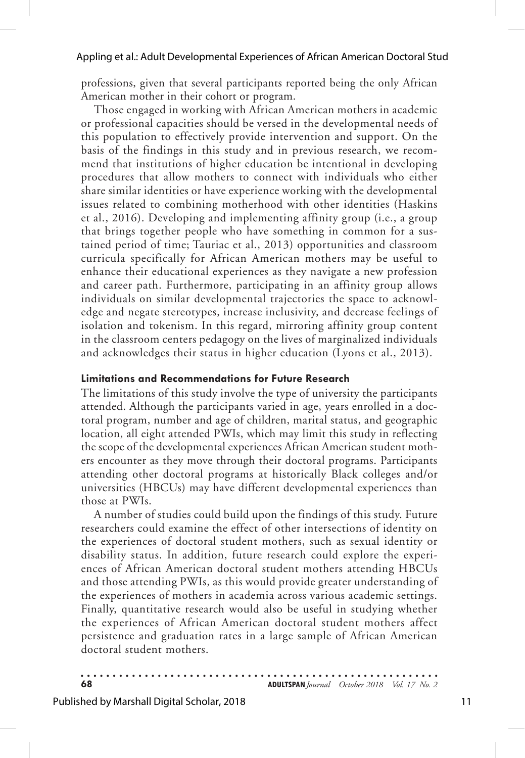professions, given that several participants reported being the only African American mother in their cohort or program.

Those engaged in working with African American mothers in academic or professional capacities should be versed in the developmental needs of this population to effectively provide intervention and support. On the basis of the findings in this study and in previous research, we recommend that institutions of higher education be intentional in developing procedures that allow mothers to connect with individuals who either share similar identities or have experience working with the developmental issues related to combining motherhood with other identities (Haskins et al., 2016). Developing and implementing affinity group (i.e., a group that brings together people who have something in common for a sustained period of time; Tauriac et al., 2013) opportunities and classroom curricula specifically for African American mothers may be useful to enhance their educational experiences as they navigate a new profession and career path. Furthermore, participating in an affinity group allows individuals on similar developmental trajectories the space to acknowledge and negate stereotypes, increase inclusivity, and decrease feelings of isolation and tokenism. In this regard, mirroring affinity group content in the classroom centers pedagogy on the lives of marginalized individuals and acknowledges their status in higher education (Lyons et al., 2013).

#### **Limitations and Recommendations for Future Research**

The limitations of this study involve the type of university the participants attended. Although the participants varied in age, years enrolled in a doctoral program, number and age of children, marital status, and geographic location, all eight attended PWIs, which may limit this study in reflecting the scope of the developmental experiences African American student mothers encounter as they move through their doctoral programs. Participants attending other doctoral programs at historically Black colleges and/or universities (HBCUs) may have different developmental experiences than those at PWIs.

A number of studies could build upon the findings of this study. Future researchers could examine the effect of other intersections of identity on the experiences of doctoral student mothers, such as sexual identity or disability status. In addition, future research could explore the experiences of African American doctoral student mothers attending HBCUs and those attending PWIs, as this would provide greater understanding of the experiences of mothers in academia across various academic settings. Finally, quantitative research would also be useful in studying whether the experiences of African American doctoral student mothers affect persistence and graduation rates in a large sample of African American doctoral student mothers.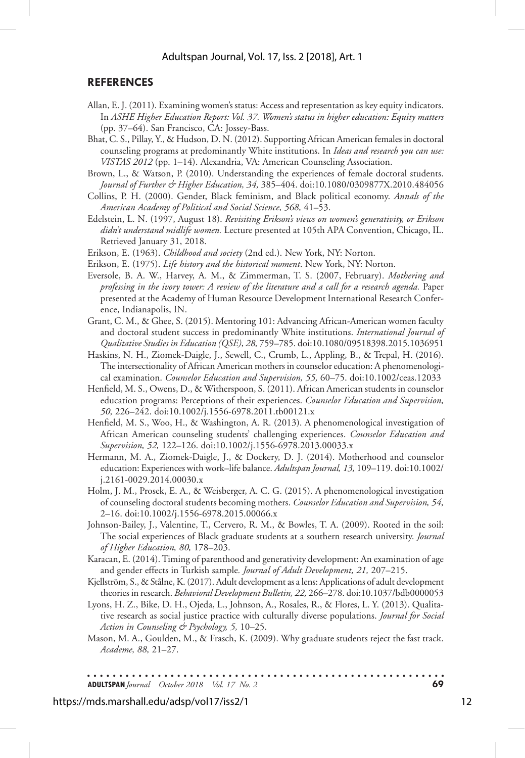#### **REFERENCES**

- Allan, E. J. (2011). Examining women's status: Access and representation as key equity indicators. In *ASHE Higher Education Report: Vol. 37. Women's status in higher education: Equity matters* (pp. 37–64). San Francisco, CA: Jossey-Bass.
- Bhat, C. S., Pillay, Y., & Hudson, D. N. (2012). Supporting African American females in doctoral counseling programs at predominantly White institutions. In *Ideas and research you can use: VISTAS 2012* (pp. 1–14). Alexandria, VA: American Counseling Association.
- Brown, L., & Watson, P. (2010). Understanding the experiences of female doctoral students. *Journal of Further & Higher Education, 34,* 385–404. doi:10.1080/0309877X.2010.484056
- Collins, P. H. (2000). Gender, Black feminism, and Black political economy. *Annals of the American Academy of Political and Social Science, 568,* 41–53.
- Edelstein, L. N. (1997, August 18). *Revisiting Erikson's views on women's generativity, or Erikson didn't understand midlife women.* Lecture presented at 105th APA Convention, Chicago, IL. Retrieved January 31, 2018.
- Erikson, E. (1963). *Childhood and society* (2nd ed.). New York, NY: Norton.
- Erikson, E. (1975). *Life history and the historical moment*. New York, NY: Norton.
- Eversole, B. A. W., Harvey, A. M., & Zimmerman, T. S. (2007, February). *Mothering and professing in the ivory tower: A review of the literature and a call for a research agenda.* Paper presented at the Academy of Human Resource Development International Research Conference, Indianapolis, IN.
- Grant, C. M., & Ghee, S. (2015). Mentoring 101: Advancing African-American women faculty and doctoral student success in predominantly White institutions. *International Journal of Qualitative Studies in Education (QSE)*, *28,* 759–785. doi:10.1080/09518398.2015.1036951
- Haskins, N. H., Ziomek-Daigle, J., Sewell, C., Crumb, L., Appling, B., & Trepal, H. (2016). The intersectionality of African American mothers in counselor education: A phenomenological examination. *Counselor Education and Supervision, 55,* 60–75. doi:10.1002/ceas.12033
- Henfield, M. S., Owens, D., & Witherspoon, S. (2011). African American students in counselor education programs: Perceptions of their experiences. *Counselor Education and Supervision, 50,* 226–242. doi:10.1002/j.1556-6978.2011.tb00121.x
- Henfield, M. S., Woo, H., & Washington, A. R. (2013). A phenomenological investigation of African American counseling students' challenging experiences. *Counselor Education and Supervision, 52,* 122–126. doi:10.1002/j.1556-6978.2013.00033.x
- Hermann, M. A., Ziomek-Daigle, J., & Dockery, D. J. (2014). Motherhood and counselor education: Experiences with work–life balance. *Adultspan Journal, 13,* 109–119. doi:10.1002/ j.2161-0029.2014.00030.x
- Holm, J. M., Prosek, E. A., & Weisberger, A. C. G. (2015). A phenomenological investigation of counseling doctoral students becoming mothers. *Counselor Education and Supervision, 54,* 2–16. doi:10.1002/j.1556-6978.2015.00066.x
- Johnson-Bailey, J., Valentine, T., Cervero, R. M., & Bowles, T. A. (2009). Rooted in the soil: The social experiences of Black graduate students at a southern research university. *Journal of Higher Education, 80,* 178–203.
- Karacan, E. (2014). Timing of parenthood and generativity development: An examination of age and gender effects in Turkish sample*. Journal of Adult Development, 21,* 207–215.
- Kjellström, S., & Stålne, K. (2017). Adult development as a lens: Applications of adult development theories in research. *Behavioral Development Bulletin, 22,* 266–278. doi:10.1037/bdb0000053
- Lyons, H. Z., Bike, D. H., Ojeda, L., Johnson, A., Rosales, R., & Flores, L. Y. (2013). Qualitative research as social justice practice with culturally diverse populations. *Journal for Social Action in Counseling & Psychology, 5,* 10–25.
- Mason, M. A., Goulden, M., & Frasch, K. (2009). Why graduate students reject the fast track. *Academe, 88,* 21–27.

**ADULTSPAN***Journal October 2018 Vol. 17 No. 2* **69**

https://mds.marshall.edu/adsp/vol17/iss2/1